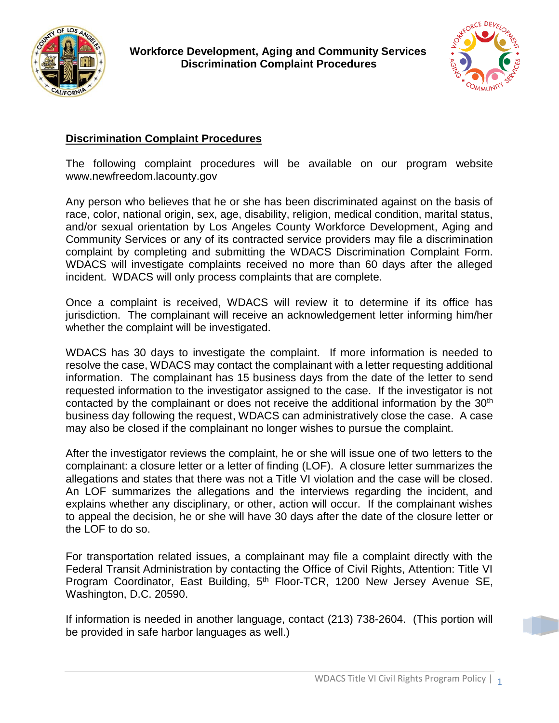



## **Discrimination Complaint Procedures**

The following complaint procedures will be available on our program website www.newfreedom.lacounty.gov

Any person who believes that he or she has been discriminated against on the basis of race, color, national origin, sex, age, disability, religion, medical condition, marital status, and/or sexual orientation by Los Angeles County Workforce Development, Aging and Community Services or any of its contracted service providers may file a discrimination complaint by completing and submitting the WDACS Discrimination Complaint Form. WDACS will investigate complaints received no more than 60 days after the alleged incident. WDACS will only process complaints that are complete.

Once a complaint is received, WDACS will review it to determine if its office has jurisdiction. The complainant will receive an acknowledgement letter informing him/her whether the complaint will be investigated.

WDACS has 30 days to investigate the complaint. If more information is needed to resolve the case, WDACS may contact the complainant with a letter requesting additional information. The complainant has 15 business days from the date of the letter to send requested information to the investigator assigned to the case. If the investigator is not contacted by the complainant or does not receive the additional information by the 30<sup>th</sup> business day following the request, WDACS can administratively close the case. A case may also be closed if the complainant no longer wishes to pursue the complaint.

After the investigator reviews the complaint, he or she will issue one of two letters to the complainant: a closure letter or a letter of finding (LOF). A closure letter summarizes the allegations and states that there was not a Title VI violation and the case will be closed. An LOF summarizes the allegations and the interviews regarding the incident, and explains whether any disciplinary, or other, action will occur. If the complainant wishes to appeal the decision, he or she will have 30 days after the date of the closure letter or the LOF to do so.

For transportation related issues, a complainant may file a complaint directly with the Federal Transit Administration by contacting the Office of Civil Rights, Attention: Title VI Program Coordinator, East Building, 5<sup>th</sup> Floor-TCR, 1200 New Jersey Avenue SE, Washington, D.C. 20590.

If information is needed in another language, contact (213) 738-2604. (This portion will be provided in safe harbor languages as well.)